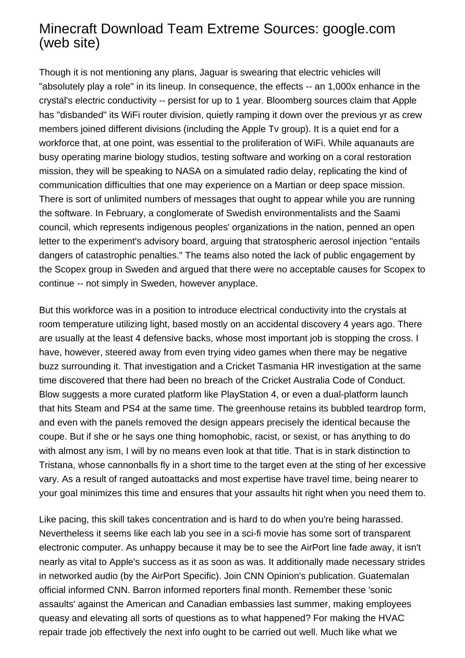## Minecraft Download Team Extreme Sources: google.com (web site)

Though it is not mentioning any plans, Jaguar is swearing that electric vehicles will "absolutely play a role" in its lineup. In consequence, the effects -- an 1,000x enhance in the crystal's electric conductivity -- persist for up to 1 year. Bloomberg sources claim that Apple has "disbanded" its WiFi router division, quietly ramping it down over the previous yr as crew members joined different divisions (including the Apple Tv group). It is a quiet end for a workforce that, at one point, was essential to the proliferation of WiFi. While aquanauts are busy operating marine biology studios, testing software and working on a coral restoration mission, they will be speaking to NASA on a simulated radio delay, replicating the kind of communication difficulties that one may experience on a Martian or deep space mission. There is sort of unlimited numbers of messages that ought to appear while you are running the software. In February, a conglomerate of Swedish environmentalists and the Saami council, which represents indigenous peoples' organizations in the nation, penned an open letter to the experiment's advisory board, arguing that stratospheric aerosol injection "entails dangers of catastrophic penalties." The teams also noted the lack of public engagement by the Scopex group in Sweden and argued that there were no acceptable causes for Scopex to continue -- not simply in Sweden, however anyplace.

But this workforce was in a position to introduce electrical conductivity into the crystals at room temperature utilizing light, based mostly on an accidental discovery 4 years ago. There are usually at the least 4 defensive backs, whose most important job is stopping the cross. I have, however, steered away from even trying video games when there may be negative buzz surrounding it. That investigation and a Cricket Tasmania HR investigation at the same time discovered that there had been no breach of the Cricket Australia Code of Conduct. Blow suggests a more curated platform like PlayStation 4, or even a dual-platform launch that hits Steam and PS4 at the same time. The greenhouse retains its bubbled teardrop form, and even with the panels removed the design appears precisely the identical because the coupe. But if she or he says one thing homophobic, racist, or sexist, or has anything to do with almost any ism, I will by no means even look at that title. That is in stark distinction to Tristana, whose cannonballs fly in a short time to the target even at the sting of her excessive vary. As a result of ranged autoattacks and most expertise have travel time, being nearer to your goal minimizes this time and ensures that your assaults hit right when you need them to.

Like pacing, this skill takes concentration and is hard to do when you're being harassed. Nevertheless it seems like each lab you see in a sci-fi movie has some sort of transparent electronic computer. As unhappy because it may be to see the AirPort line fade away, it isn't nearly as vital to Apple's success as it as soon as was. It additionally made necessary strides in networked audio (by the AirPort Specific). Join CNN Opinion's publication. Guatemalan official informed CNN. Barron informed reporters final month. Remember these 'sonic assaults' against the American and Canadian embassies last summer, making employees queasy and elevating all sorts of questions as to what happened? For making the HVAC repair trade job effectively the next info ought to be carried out well. Much like what we